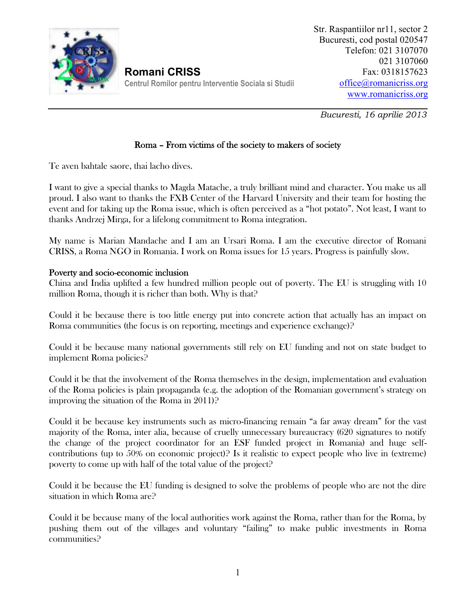

**Romani CRISS Centrul Romilor pentru Interventie Sociala si Studii**

*Bucuresti, 16 aprilie 2013*

## **Roma – From victims of the society to makers of society**

Te aven bahtale saore, thai lacho dives.

I want to give a special thanks to Magda Matache, a truly brilliant mind and character. You make us all proud. I also want to thanks the FXB Center of the Harvard University and their team for hosting the event and for taking up the Roma issue, which is often perceived as a "hot potato". Not least, I want to thanks Andrzej Mirga, for a lifelong commitment to Roma integration.

My name is Marian Mandache and I am an Ursari Roma. I am the executive director of Romani CRISS, a Roma NGO in Romania. I work on Roma issues for 15 years. Progress is painfully slow.

## **Poverty and socio-economic inclusion**

China and India uplifted a few hundred million people out of poverty. The EU is struggling with 10 million Roma, though it is richer than both. Why is that?

Could it be because there is too little energy put into concrete action that actually has an impact on Roma communities (the focus is on reporting, meetings and experience exchange)?

Could it be because many national governments still rely on EU funding and not on state budget to implement Roma policies?

Could it be that the involvement of the Roma themselves in the design, implementation and evaluation of the Roma policies is plain propaganda (e.g. the adoption of the Romanian government's strategy on improving the situation of the Roma in 2011)?

Could it be because key instruments such as micro-financing remain "a far away dream" for the vast majority of the Roma, inter alia, because of cruelly unnecessary bureaucracy (620 signatures to notify the change of the project coordinator for an ESF funded project in Romania) and huge self contributions (up to 50% on economic project)? Is it realistic to expect people who live in (extreme) poverty to come up with half of the total value of the project?

Could it be because the EU funding is designed to solve the problems of people who are not the dire situation in which Roma are?

Could it be because many of the local authorities work against the Roma, rather than for the Roma, by pushing them out of the villages and voluntary "failing" to make public investments in Roma communities?